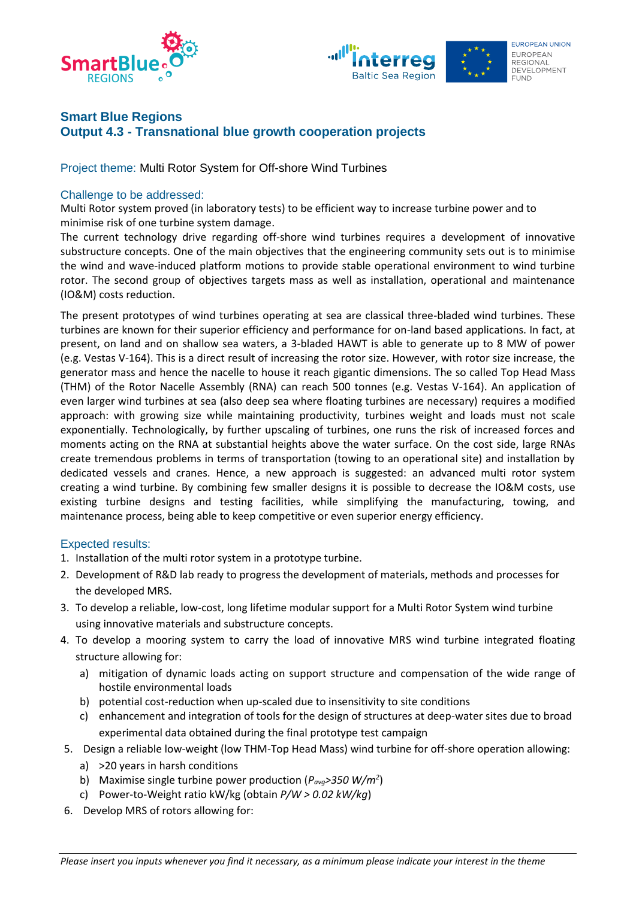



# **Smart Blue Regions Output 4.3 - Transnational blue growth cooperation projects**

Project theme: Multi Rotor System for Off-shore Wind Turbines

### Challenge to be addressed:

Multi Rotor system proved (in laboratory tests) to be efficient way to increase turbine power and to minimise risk of one turbine system damage.

The current technology drive regarding off-shore wind turbines requires a development of innovative substructure concepts. One of the main objectives that the engineering community sets out is to minimise the wind and wave-induced platform motions to provide stable operational environment to wind turbine rotor. The second group of objectives targets mass as well as installation, operational and maintenance (IO&M) costs reduction.

The present prototypes of wind turbines operating at sea are classical three-bladed wind turbines. These turbines are known for their superior efficiency and performance for on-land based applications. In fact, at present, on land and on shallow sea waters, a 3-bladed HAWT is able to generate up to 8 MW of power (e.g. Vestas V-164). This is a direct result of increasing the rotor size. However, with rotor size increase, the generator mass and hence the nacelle to house it reach gigantic dimensions. The so called Top Head Mass (THM) of the Rotor Nacelle Assembly (RNA) can reach 500 tonnes (e.g. Vestas V-164). An application of even larger wind turbines at sea (also deep sea where floating turbines are necessary) requires a modified approach: with growing size while maintaining productivity, turbines weight and loads must not scale exponentially. Technologically, by further upscaling of turbines, one runs the risk of increased forces and moments acting on the RNA at substantial heights above the water surface. On the cost side, large RNAs create tremendous problems in terms of transportation (towing to an operational site) and installation by dedicated vessels and cranes. Hence, a new approach is suggested: an advanced multi rotor system creating a wind turbine. By combining few smaller designs it is possible to decrease the IO&M costs, use existing turbine designs and testing facilities, while simplifying the manufacturing, towing, and maintenance process, being able to keep competitive or even superior energy efficiency.

### Expected results:

- 1. Installation of the multi rotor system in a prototype turbine.
- 2. Development of R&D lab ready to progress the development of materials, methods and processes for the developed MRS.
- 3. To develop a reliable, low-cost, long lifetime modular support for a Multi Rotor System wind turbine using innovative materials and substructure concepts.
- 4. To develop a mooring system to carry the load of innovative MRS wind turbine integrated floating structure allowing for:
	- a) mitigation of dynamic loads acting on support structure and compensation of the wide range of hostile environmental loads
	- b) potential cost-reduction when up-scaled due to insensitivity to site conditions
	- c) enhancement and integration of tools for the design of structures at deep-water sites due to broad experimental data obtained during the final prototype test campaign
- 5. Design a reliable low-weight (low THM-Top Head Mass) wind turbine for off-shore operation allowing:
	- a) >20 years in harsh conditions
	- b) Maximise single turbine power production (*Pavg>350 W/m<sup>2</sup>* )
	- c) Power-to-Weight ratio kW/kg (obtain *P/W > 0.02 kW/kg*)
- 6. Develop MRS of rotors allowing for: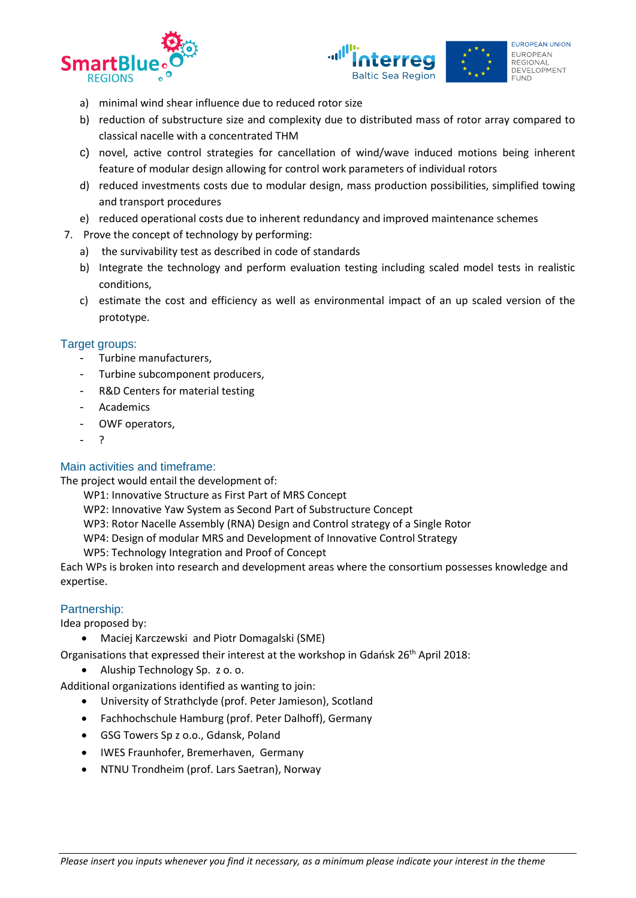



- a) minimal wind shear influence due to reduced rotor size
- b) reduction of substructure size and complexity due to distributed mass of rotor array compared to classical nacelle with a concentrated THM
- c) novel, active control strategies for cancellation of wind/wave induced motions being inherent feature of modular design allowing for control work parameters of individual rotors
- d) reduced investments costs due to modular design, mass production possibilities, simplified towing and transport procedures
- e) reduced operational costs due to inherent redundancy and improved maintenance schemes
- 7. Prove the concept of technology by performing:
	- a) the survivability test as described in code of standards
	- b) Integrate the technology and perform evaluation testing including scaled model tests in realistic conditions,
	- c) estimate the cost and efficiency as well as environmental impact of an up scaled version of the prototype.

# Target groups:

- Turbine manufacturers,
- Turbine subcomponent producers,
- R&D Centers for material testing
- **Academics**
- OWF operators,
- ?

# Main activities and timeframe:

The project would entail the development of:

- WP1: Innovative Structure as First Part of MRS Concept
- WP2: Innovative Yaw System as Second Part of Substructure Concept
- WP3: Rotor Nacelle Assembly (RNA) Design and Control strategy of a Single Rotor
- WP4: Design of modular MRS and Development of Innovative Control Strategy
- WP5: Technology Integration and Proof of Concept

Each WPs is broken into research and development areas where the consortium possesses knowledge and expertise.

## Partnership:

Idea proposed by:

• Maciej Karczewski and Piotr Domagalski (SME)

Organisations that expressed their interest at the workshop in Gdańsk 26<sup>th</sup> April 2018:

• Aluship Technology Sp. z o. o.

Additional organizations identified as wanting to join:

- University of Strathclyde (prof. Peter Jamieson), Scotland
- Fachhochschule Hamburg (prof. Peter Dalhoff), Germany
- GSG Towers Sp z o.o., Gdansk, Poland
- IWES Fraunhofer, Bremerhaven, Germany
- NTNU Trondheim (prof. Lars Saetran), Norway